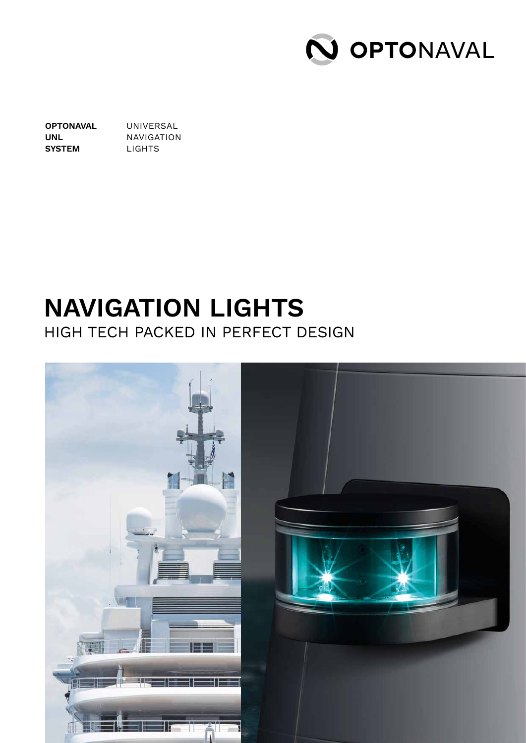

**OPTONAVAL UNL SYSTEM** UNIVERSAL NAVIGATION LIGHTS

#### **NAVIGATION LIGHTS**  HIGH TECH PACKED IN PERFECT DESIGN

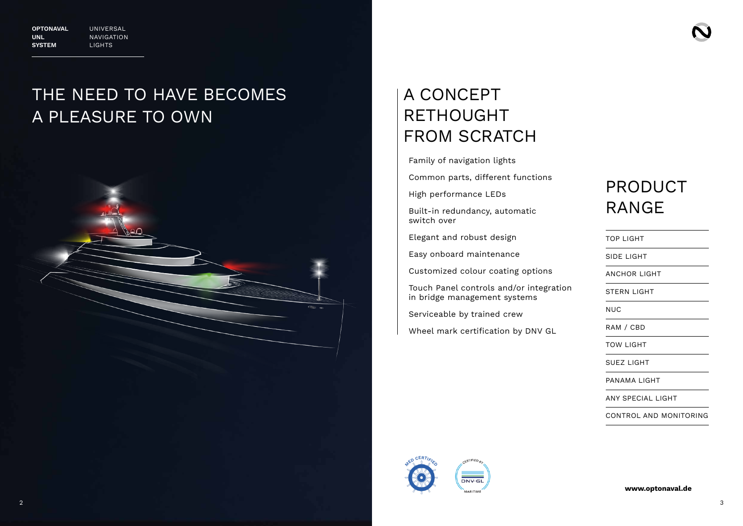





**www.optonaval.de**

## A CONCEPT RETHOUGHT FROM SCRATCH

Family of navigation lights

Common parts, different functions

High performance LEDs

Built-in redundancy, automatic switch over

Elegant and robust design

Easy onboard maintenance

Customized colour coating options

Touch Panel controls and/or integration in bridge management systems

Serviceable by trained crew

Wheel mark certification by DNV GL

## PRODUCT RANGE

TOP LIGHT

SIDE LIGHT

ANCHOR LIGHT

STERN LIGHT

NUC

RAM / CBD

TOW LIGHT

SUEZ LIGHT

PANAMA LIGHT

ANY SPECIAL LIGHT

CONTROL AND MONITORING

## THE NEED TO HAVE BECOMES A PLEASURE TO OWN

**OPTONAVAL UNL SYSTEM**

UNIVERSAL NAVIGATION LIGHTS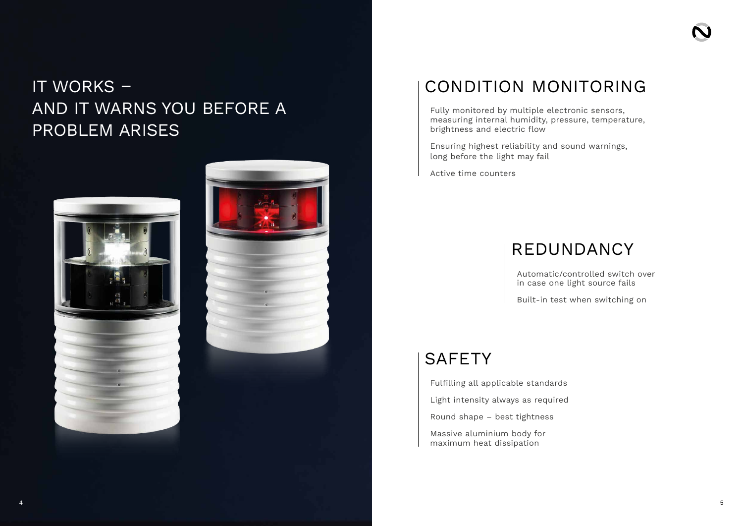# IT WORKS – AND IT WARNS YOU BEFORE A PROBLEM ARISES





Fully monitored by multiple electronic sensors, measuring internal humidity, pressure, temperature, brightness and electric flow

Ensuring highest reliability and sound warnings, long before the light may fail

Active time counters

Fulfilling all applicable standards

Light intensity always as required

Round shape – best tightness

Massive aluminium body for maximum heat dissipation



#### REDUNDANCY

Automatic/controlled switch over in case one light source fails

Built-in test when switching on

#### **SAFETY**

## CONDITION MONITORING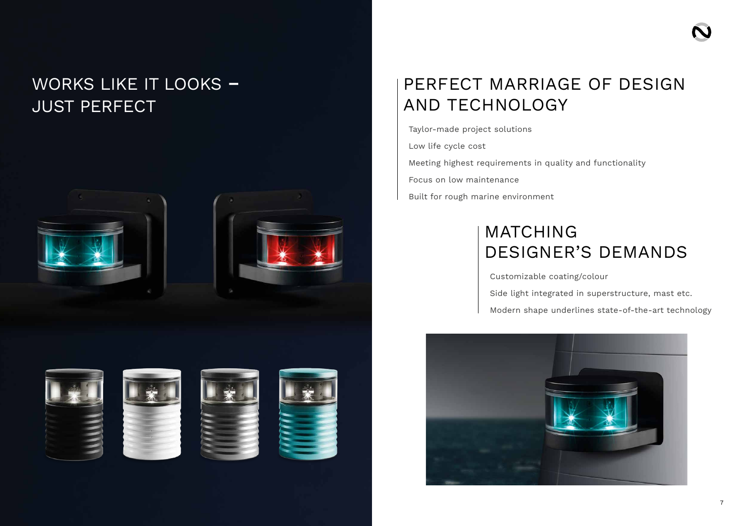# WORKS LIKE IT LOOKS **–** JUST PERFECT





# PERFECT MARRIAGE OF DESIGN AND TECHNOLOGY

Taylor-made project solutions Low life cycle cost Meeting highest requirements in quality and functionality Focus on low maintenance Built for rough marine environment

# MATCHING DESIGNER'S DEMANDS

Customizable coating/colour Side light integrated in superstructure, mast etc. Modern shape underlines state-of-the-art technology



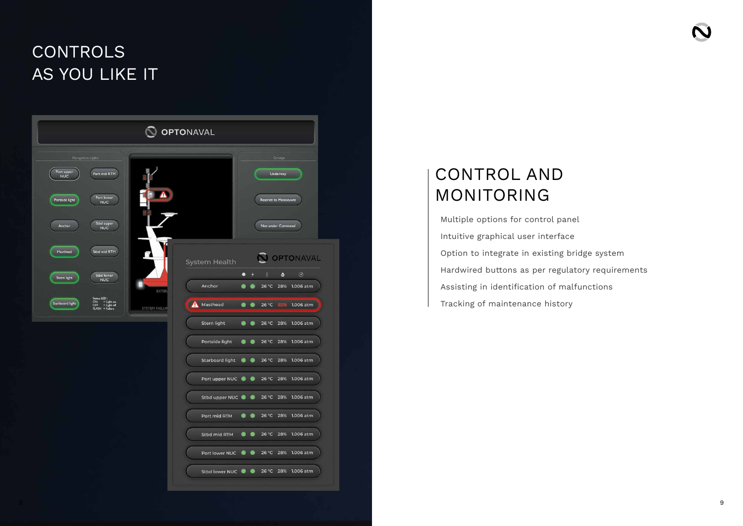# CONTROLS AS YOU LIKE IT

| Navigation Lights<br>Groups<br>Port upper<br>Port mid RTM<br>Underway<br><b>NUC</b><br>Port lower<br>Portside light<br>Restrict to Manoeuvre<br><b>NUC</b><br>Stbd upper<br>Not under Command<br>Anchor<br><b>NUC</b><br>Stbd mid RTM<br>Masthead<br><b>OPTONAVAL</b><br>System Health<br>$\odot$<br>$\delta$<br>٥<br>۰<br>✦<br>Stbd lower<br>Stern light<br><b>NUC</b><br>Anchor<br>26 °C<br>28%<br>1.006 atm<br><b>EXTER</b><br>Status LED:<br>$\begin{array}{ll} \textsf{ON} & = \textsf{Light} \textup{ on}\\ \textsf{OFF} & = \textsf{Light} \textup{ off} \end{array}$<br>Starboard light<br>Masthead<br>4<br>26 °C<br>1.006 atm<br><b>SYSTEM FAILUR</b><br>$FLASH = Failure$<br>Stern light<br>26 °C 28% 1.006 atm<br>Portside light<br>26 °C 28% 1.006 atm<br>$\bullet$<br><b>Starboard light</b><br>26 °C 28% 1.006 atm<br>◉<br>Port upper NUC<br>26 °C 28% 1.006 atm<br>Stbd upper NUC 26 °C 28% 1.006 atm<br>Port mid RTM @ 26 °C 28% 1.006 atm<br>Stbd mid RTM 3 26 °C 28% 1.006 atm<br>Port lower NUC 26 °C 28% 1.006 atm<br>Stbd lower NUC 26 °C 28% 1.006 atm | <b>OPTONAVAL</b> |  |  |  |
|------------------------------------------------------------------------------------------------------------------------------------------------------------------------------------------------------------------------------------------------------------------------------------------------------------------------------------------------------------------------------------------------------------------------------------------------------------------------------------------------------------------------------------------------------------------------------------------------------------------------------------------------------------------------------------------------------------------------------------------------------------------------------------------------------------------------------------------------------------------------------------------------------------------------------------------------------------------------------------------------------------------------------------------------------------------------------|------------------|--|--|--|
|                                                                                                                                                                                                                                                                                                                                                                                                                                                                                                                                                                                                                                                                                                                                                                                                                                                                                                                                                                                                                                                                              |                  |  |  |  |
|                                                                                                                                                                                                                                                                                                                                                                                                                                                                                                                                                                                                                                                                                                                                                                                                                                                                                                                                                                                                                                                                              |                  |  |  |  |
|                                                                                                                                                                                                                                                                                                                                                                                                                                                                                                                                                                                                                                                                                                                                                                                                                                                                                                                                                                                                                                                                              |                  |  |  |  |
|                                                                                                                                                                                                                                                                                                                                                                                                                                                                                                                                                                                                                                                                                                                                                                                                                                                                                                                                                                                                                                                                              |                  |  |  |  |
|                                                                                                                                                                                                                                                                                                                                                                                                                                                                                                                                                                                                                                                                                                                                                                                                                                                                                                                                                                                                                                                                              |                  |  |  |  |
|                                                                                                                                                                                                                                                                                                                                                                                                                                                                                                                                                                                                                                                                                                                                                                                                                                                                                                                                                                                                                                                                              |                  |  |  |  |
|                                                                                                                                                                                                                                                                                                                                                                                                                                                                                                                                                                                                                                                                                                                                                                                                                                                                                                                                                                                                                                                                              |                  |  |  |  |
|                                                                                                                                                                                                                                                                                                                                                                                                                                                                                                                                                                                                                                                                                                                                                                                                                                                                                                                                                                                                                                                                              |                  |  |  |  |
|                                                                                                                                                                                                                                                                                                                                                                                                                                                                                                                                                                                                                                                                                                                                                                                                                                                                                                                                                                                                                                                                              |                  |  |  |  |
|                                                                                                                                                                                                                                                                                                                                                                                                                                                                                                                                                                                                                                                                                                                                                                                                                                                                                                                                                                                                                                                                              |                  |  |  |  |
|                                                                                                                                                                                                                                                                                                                                                                                                                                                                                                                                                                                                                                                                                                                                                                                                                                                                                                                                                                                                                                                                              |                  |  |  |  |
|                                                                                                                                                                                                                                                                                                                                                                                                                                                                                                                                                                                                                                                                                                                                                                                                                                                                                                                                                                                                                                                                              |                  |  |  |  |
|                                                                                                                                                                                                                                                                                                                                                                                                                                                                                                                                                                                                                                                                                                                                                                                                                                                                                                                                                                                                                                                                              |                  |  |  |  |

## CONTROL AND MONITORING

Multiple options for control panel Intuitive graphical user interface Option to integrate in existing bridge system Hardwired buttons as per regulatory requirements Assisting in identification of malfunctions Tracking of maintenance history



- 
- 
- 
- 
- 
-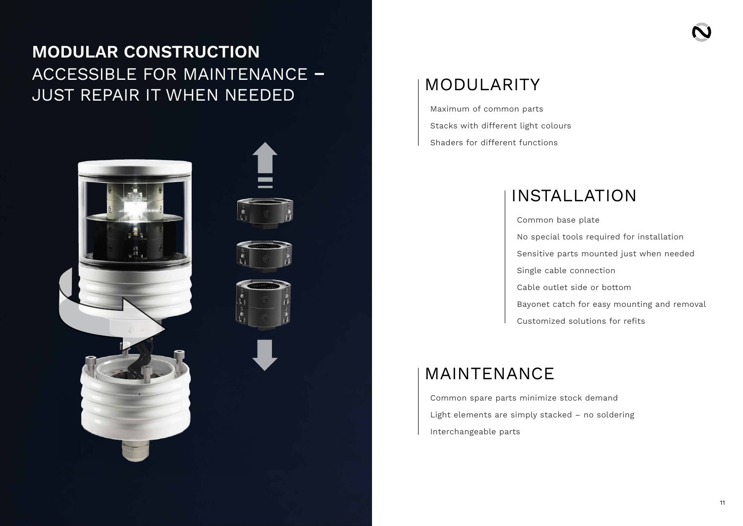#### MODULARITY

Maximum of common parts Stacks with different light colours Shaders for different functions

#### MAINTENANCE

Common spare parts minimize stock demand Light elements are simply stacked – no soldering Interchangeable parts



#### INSTALLATION

Common base plate No special tools required for installation Sensitive parts mounted just when needed Single cable connection Cable outlet side or bottom Bayonet catch for easy mounting and removal Customized solutions for refits

# **MODULAR CONSTRUCTION** ACCESSIBLE FOR MAINTENANCE **–** JUST REPAIR IT WHEN NEEDED